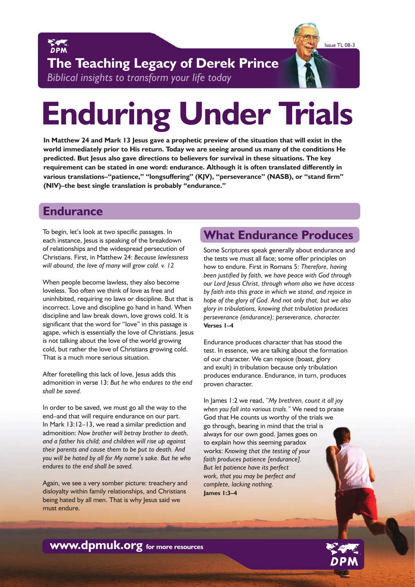



**The Teaching Legacy of Derek Prince**  *Biblical insights to transform your life today*

# **Enduring Under Trials**

**In Matthew 24 and Mark 13 Jesus gave a prophetic preview of the situation that will exist in the world immediately prior to His return. Today we are seeing around us many of the conditions He predicted. But Jesus also gave directions to believers for survival in these situations. The key requirement can be stated in one word: endurance. Although it is often translated differently in various translations–"patience," "longsuffering" (KJV), "perseverance" (NASB), or "stand firm" (NIV)–the best single translation is probably "endurance."**

#### **Endurance**

To begin, let's look at two specific passages. In each instance, Jesus is speaking of the breakdown of relationships and the widespread persecution of Christians. First, in Matthew 24: *Because lawlessness will abound, the love of many will grow cold. v. 12* 

When people become lawless, they also become loveless. Too often we think of love as free and uninhibited, requiring no laws or discipline. But that is incorrect. Love and discipline go hand in hand. When discipline and law break down, love grows cold. It is significant that the word for "love" in this passage is agape, which is essentially the love of Christians. Jesus is not talking about the love of the world growing cold, but rather the love of Christians growing cold. That is a much more serious situation.

After foretelling this lack of love, Jesus adds this admonition in verse 13: *But he who endures to the end shall be saved.*

In order to be saved, we must go all the way to the end–and that will require endurance on our part. In Mark 13:12–13, we read a similar prediction and admonition: *Now brother will betray brother to death, and a father his child; and children will rise up against their parents and cause them to be put to death. And you will be hated by all for My name's sake. But he who endures to the end shall be saved.*

Again, we see a very somber picture: treachery and disloyalty within family relationships, and Christians being hated by all men. That is why Jesus said we must endure.

# **What Endurance Produces**

Some Scriptures speak generally about endurance and the tests we must all face; some offer principles on how to endure. First in Romans 5: *Therefore, having been justified by faith, we have peace with God through our Lord Jesus Christ, through whom also we have access by faith into this grace in which we stand, and rejoice in hope of the glory of God. And not only that, but we also glory in tribulations, knowing that tribulation produces perseverance (endurance); perseverance, character.* **Verses 1–4**

Endurance produces character that has stood the test. In essence, we are talking about the formation of our character. We can rejoice (boast, glory and exult) in tribulation because only tribulation produces endurance. Endurance, in turn, produces proven character.

In James 1:2 we read, *"My brethren, count it all joy when you fall into various trials."* We need to praise God that He counts us worthy of the trials we go through, bearing in mind that the trial is always for our own good. James goes on to explain how this seeming paradox works: *Knowing that the testing of your faith produces patience [endurance]. But let patience have its perfect work, that you may be perfect and complete, lacking nothing.*  **James 1:3–4**

**www.dpmuk.org for more resources**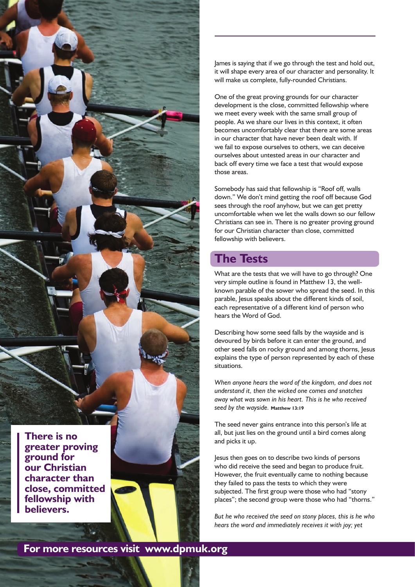

James is saying that if we go through the test and hold out, it will shape every area of our character and personality. It will make us complete, fully-rounded Christians.

One of the great proving grounds for our character development is the close, committed fellowship where we meet every week with the same small group of people. As we share our lives in this context, it often becomes uncomfortably clear that there are some areas in our character that have never been dealt with. If we fail to expose ourselves to others, we can deceive ourselves about untested areas in our character and back off every time we face a test that would expose those areas.

Somebody has said that fellowship is "Roof off, walls down." We don't mind getting the roof off because God sees through the roof anyhow, but we can get pretty uncomfortable when we let the walls down so our fellow Christians can see in. There is no greater proving ground for our Christian character than close, committed fellowship with believers.

# **The Tests**

What are the tests that we will have to go through? One very simple outline is found in Matthew 13, the wellknown parable of the sower who spread the seed. In this parable, Jesus speaks about the different kinds of soil, each representative of a different kind of person who hears the Word of God.

Describing how some seed falls by the wayside and is devoured by birds before it can enter the ground, and other seed falls on rocky ground and among thorns, Jesus explains the type of person represented by each of these situations.

*When anyone hears the word of the kingdom, and does not understand it, then the wicked one comes and snatches away what was sown in his heart. This is he who received seed by the wayside.* **Matthew 13:19**

The seed never gains entrance into this person's life at all, but just lies on the ground until a bird comes along and picks it up.

Jesus then goes on to describe two kinds of persons who did receive the seed and began to produce fruit. However, the fruit eventually came to nothing because they failed to pass the tests to which they were subjected. The first group were those who had "stony places"; the second group were those who had "thorns."

*But he who received the seed on stony places, this is he who hears the word and immediately receives it with joy; yet* 

**For more resources visit www.dpmuk.org**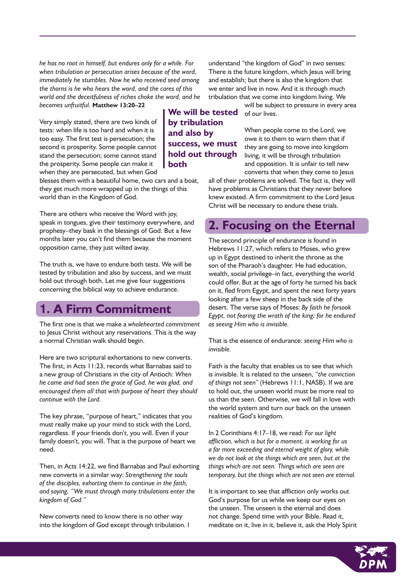*he has no root in himself, but endures only for a while. For when tribulation or persecution arises because of the word, immediately he stumbles. Now he who received seed among the thorns is he who hears the word, and the cares of this world and the deceitfulness of riches choke the word, and he becomes unfruitful.* **Matthew 13:20–22**

Very simply stated, there are two kinds of tests: when life is too hard and when it is too easy. The first test is persecution; the second is prosperity. Some people cannot stand the persecution; some cannot stand the prosperity. Some people can make it when they are persecuted, but when God

blesses them with a beautiful home, two cars and a boat, they get much more wrapped up in the things of this world than in the Kingdom of God.

There are others who receive the Word with joy, speak in tongues, give their testimony everywhere, and prophesy–they bask in the blessings of God. But a few months later you can't find them because the moment opposition came, they just wilted away.

The truth is, we have to endure both tests. We will be tested by tribulation and also by success, and we must hold out through both. Let me give four suggestions concerning the biblical way to achieve endurance.

#### **1. A Firm Commitment**

The first one is that we make a *wholehearted commitment* to Jesus Christ without any reservations. This is the way a normal Christian walk should begin.

Here are two scriptural exhortations to new converts. The first, in Acts 11:23, records what Barnabas said to a new group of Christians in the city of Antioch: *When he came and had seen the grace of God, he was glad, and encouraged them all that with purpose of heart they should continue with the Lord.*

The key phrase, "purpose of heart," indicates that you must really make up your mind to stick with the Lord, regardless. If your friends don't, you will. Even if your family doesn't, you will. That is the purpose of heart we need.

Then, in Acts 14:22, we find Barnabas and Paul exhorting new converts in a similar way: *Strengthening the souls of the disciples, exhorting them to continue in the faith, and saying, "We must through many tribulations enter the kingdom of God."*

New converts need to know there is no other way into the kingdom of God except through tribulation. I

understand "the kingdom of God" in two senses: There is the future kingdom, which Jesus will bring and establish; but there is also the kingdom that we enter and live in now. And it is through much tribulation that we come into kingdom living. We

will be subject to pressure in every area **We will be tested** of our lives.

> When people come to the Lord, we owe it to them to warn them that if they are going to move into kingdom living, it will be through tribulation and opposition. It is unfair to tell new converts that when they come to Jesus

all of their problems are solved. The fact is, they will have problems as Christians that they never before knew existed. A firm commitment to the Lord Jesus Christ will be necessary to endure these trials.

### **2. Focusing on the Eternal**

The second principle of endurance is found in Hebrews 11:27, which refers to Moses, who grew up in Egypt destined to inherit the throne as the son of the Pharaoh's daughter. He had education, wealth, social privilege–in fact, everything the world could offer. But at the age of forty he turned his back on it, fled from Egypt, and spent the next forty years looking after a few sheep in the back side of the desert. The verse says of Moses: *By faith he forsook Egypt, not fearing the wrath of the king; for he endured as seeing Him who is invisible.*

That is the essence of endurance: *seeing Him who is invisible.* 

Faith is the faculty that enables us to see that which is invisible. It is related to the unseen, *"the conviction of things not seen"* (Hebrews 11:1, NASB). If we are to hold out, the unseen world must be more real to us than the seen. Otherwise, we will fall in love with the world system and turn our back on the unseen realities of God's kingdom.

In 2 Corinthians 4:17–18, we read: *For our light affliction, which is but for a moment, is working for us a far more exceeding and eternal weight of glory, while we do not look at the things which are seen, but at the things which are not seen. Things which are seen are temporary, but the things which are not seen are eternal.*

It is important to see that affliction only works out God's purpose for us while we keep our eyes on the unseen. The unseen is the eternal and does not change. Spend time with your Bible. Read it, meditate on it, live in it, believe it, ask the Holy Spirit

#### **by tribulation and also by success, we must hold out through both**